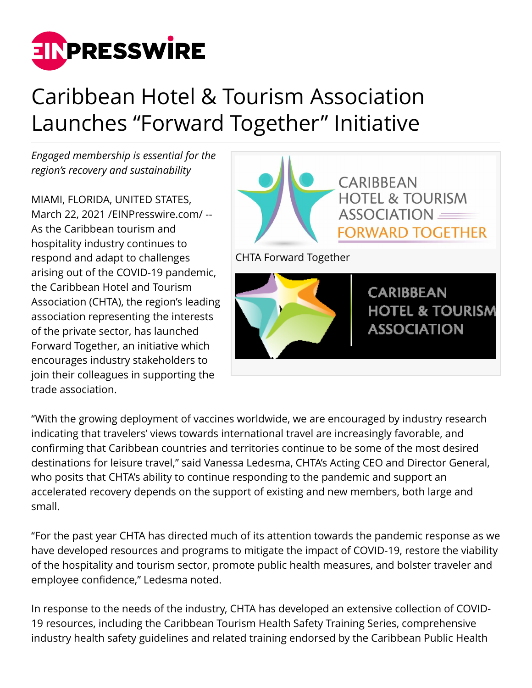

## Caribbean Hotel & Tourism Association Launches "Forward Together" Initiative

*Engaged membership is essential for the region's recovery and sustainability*

MIAMI, FLORIDA, UNITED STATES, March 22, 2021 /[EINPresswire.com](http://www.einpresswire.com)/ -- As the Caribbean tourism and hospitality industry continues to respond and adapt to challenges arising out of the COVID-19 pandemic, the Caribbean Hotel and Tourism Association (CHTA), the region's leading association representing the interests of the private sector, has launched Forward Together, an initiative which encourages industry stakeholders to join their colleagues in supporting the trade association.



"With the growing deployment of vaccines worldwide, we are encouraged by industry research indicating that travelers' views towards international travel are increasingly favorable, and confirming that Caribbean countries and territories continue to be some of the most desired destinations for leisure travel," said Vanessa Ledesma, CHTA's Acting CEO and Director General, who posits that CHTA's ability to continue responding to the pandemic and support an accelerated recovery depends on the support of existing and new members, both large and small.

"For the past year CHTA has directed much of its attention towards the pandemic response as we have developed resources and programs to mitigate the impact of COVID-19, restore the viability of the hospitality and tourism sector, promote public health measures, and bolster traveler and employee confidence," Ledesma noted.

In response to the needs of the industry, CHTA has developed an extensive collection of COVID-19 resources, including the Caribbean Tourism Health Safety Training Series, comprehensive industry health safety guidelines and related training endorsed by the Caribbean Public Health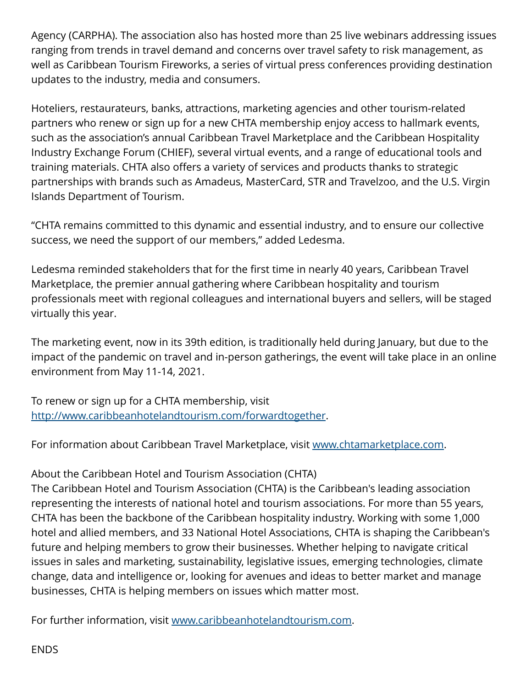Agency (CARPHA). The association also has hosted more than 25 live webinars addressing issues ranging from trends in travel demand and concerns over travel safety to risk management, as well as Caribbean Tourism Fireworks, a series of virtual press conferences providing destination updates to the industry, media and consumers.

Hoteliers, restaurateurs, banks, attractions, marketing agencies and other tourism-related partners who renew or sign up for a new CHTA membership enjoy access to hallmark events, such as the association's annual Caribbean Travel Marketplace and the Caribbean Hospitality Industry Exchange Forum (CHIEF), several virtual events, and a range of educational tools and training materials. CHTA also offers a variety of services and products thanks to strategic partnerships with brands such as Amadeus, MasterCard, STR and Travelzoo, and the U.S. Virgin Islands Department of Tourism.

"CHTA remains committed to this dynamic and essential industry, and to ensure our collective success, we need the support of our members," added Ledesma.

Ledesma reminded stakeholders that for the first time in nearly 40 years, Caribbean Travel Marketplace, the premier annual gathering where Caribbean hospitality and tourism professionals meet with regional colleagues and international buyers and sellers, will be staged virtually this year.

The marketing event, now in its 39th edition, is traditionally held during January, but due to the impact of the pandemic on travel and in-person gatherings, the event will take place in an online environment from May 11-14, 2021.

To renew or sign up for a CHTA membership, visit <http://www.caribbeanhotelandtourism.com/forwardtogether>.

For information about Caribbean Travel Marketplace, visit [www.chtamarketplace.com.](http://www.chtamarketplace.com)

About the Caribbean Hotel and Tourism Association (CHTA)

The Caribbean Hotel and Tourism Association (CHTA) is the Caribbean's leading association representing the interests of national hotel and tourism associations. For more than 55 years, CHTA has been the backbone of the Caribbean hospitality industry. Working with some 1,000 hotel and allied members, and 33 National Hotel Associations, CHTA is shaping the Caribbean's future and helping members to grow their businesses. Whether helping to navigate critical issues in sales and marketing, sustainability, legislative issues, emerging technologies, climate change, data and intelligence or, looking for avenues and ideas to better market and manage businesses, CHTA is helping members on issues which matter most.

For further information, visit [www.caribbeanhotelandtourism.com.](http://www.caribbeanhotelandtourism.com)

ENDS